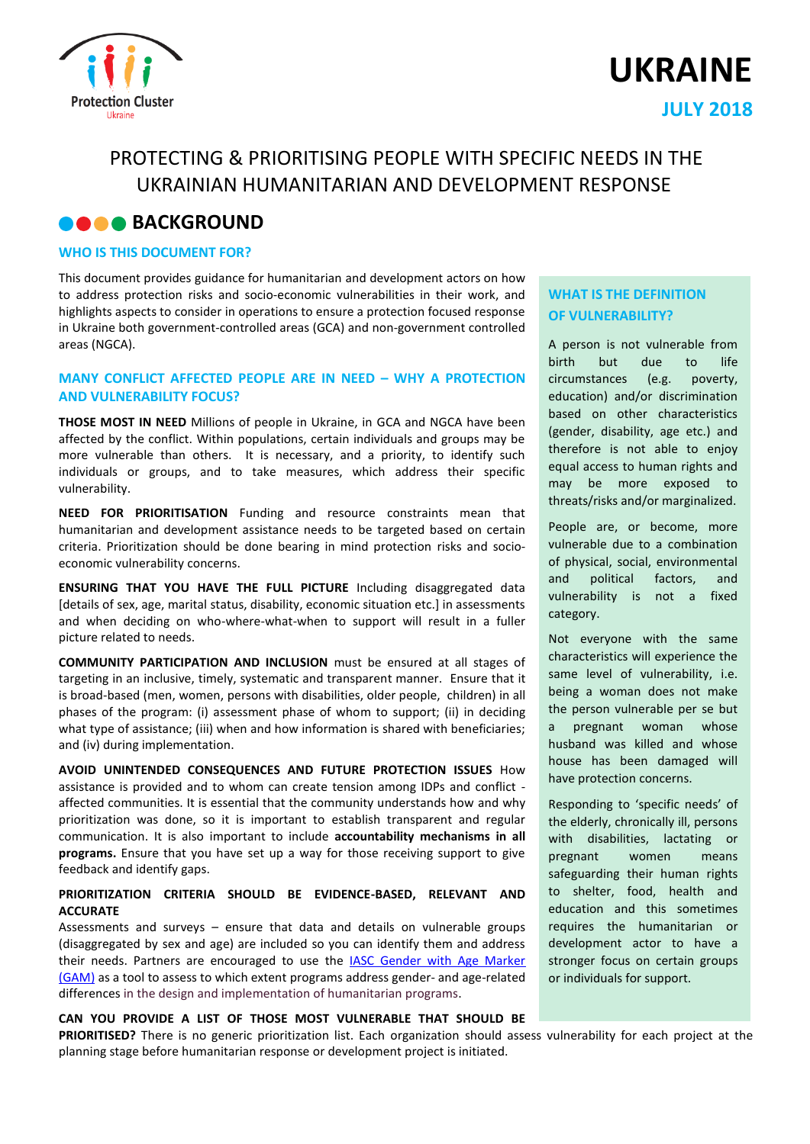



# PROTECTING & PRIORITISING PEOPLE WITH SPECIFIC NEEDS IN THE UKRAINIAN HUMANITARIAN AND DEVELOPMENT RESPONSE

## **BACKGROUND**

#### **WHO IS THIS DOCUMENT FOR?**

This document provides guidance for humanitarian and development actors on how to address protection risks and socio-economic vulnerabilities in their work, and highlights aspects to consider in operations to ensure a protection focused response in Ukraine both government-controlled areas (GCA) and non-government controlled areas (NGCA).

#### **MANY CONFLICT AFFECTED PEOPLE ARE IN NEED – WHY A PROTECTION AND VULNERABILITY FOCUS?**

**THOSE MOST IN NEED** Millions of people in Ukraine, in GCA and NGCA have been affected by the conflict. Within populations, certain individuals and groups may be more vulnerable than others. It is necessary, and a priority, to identify such individuals or groups, and to take measures, which address their specific vulnerability.

**NEED FOR PRIORITISATION** Funding and resource constraints mean that humanitarian and development assistance needs to be targeted based on certain criteria. Prioritization should be done bearing in mind protection risks and socioeconomic vulnerability concerns.

**ENSURING THAT YOU HAVE THE FULL PICTURE** Including disaggregated data [details of sex, age, marital status, disability, economic situation etc.] in assessments and when deciding on who-where-what-when to support will result in a fuller picture related to needs.

**COMMUNITY PARTICIPATION AND INCLUSION** must be ensured at all stages of targeting in an inclusive, timely, systematic and transparent manner. Ensure that it is broad-based (men, women, persons with disabilities, older people, children) in all phases of the program: (i) assessment phase of whom to support; (ii) in deciding what type of assistance; (iii) when and how information is shared with beneficiaries; and (iv) during implementation.

**AVOID UNINTENDED CONSEQUENCES AND FUTURE PROTECTION ISSUES** How assistance is provided and to whom can create tension among IDPs and conflict affected communities. It is essential that the community understands how and why prioritization was done, so it is important to establish transparent and regular communication. It is also important to include **accountability mechanisms in all programs.** Ensure that you have set up a way for those receiving support to give feedback and identify gaps.

#### **PRIORITIZATION CRITERIA SHOULD BE EVIDENCE-BASED, RELEVANT AND ACCURATE**

Assessments and surveys – ensure that data and details on vulnerable groups (disaggregated by sex and age) are included so you can identify them and address their needs. Partners are encouraged to use the [IASC Gender with Age Marker](https://iascgenderwithagemarker.com/)  [\(GAM\)](https://iascgenderwithagemarker.com/) as a tool to assess to which extent programs address gender- and age-related differences in the design and implementation of humanitarian programs.

#### **CAN YOU PROVIDE A LIST OF THOSE MOST VULNERABLE THAT SHOULD BE**

**PRIORITISED?** There is no generic prioritization list. Each organization should assess vulnerability for each project at the planning stage before humanitarian response or development project is initiated.

### **WHAT IS THE DEFINITION OF VULNERABILITY?**

A person is not vulnerable from birth but due to life circumstances (e.g. poverty, education) and/or discrimination based on other characteristics (gender, disability, age etc.) and therefore is not able to enjoy equal access to human rights and may be more exposed to threats/risks and/or marginalized.

People are, or become, more vulnerable due to a combination of physical, social, environmental and political factors, and vulnerability is not a fixed category.

Not everyone with the same characteristics will experience the same level of vulnerability, i.e. being a woman does not make the person vulnerable per se but a pregnant woman whose husband was killed and whose house has been damaged will have protection concerns.

Responding to 'specific needs' of the elderly, chronically ill, persons with disabilities, lactating or pregnant women means safeguarding their human rights to shelter, food, health and education and this sometimes requires the humanitarian or development actor to have a stronger focus on certain groups or individuals for support.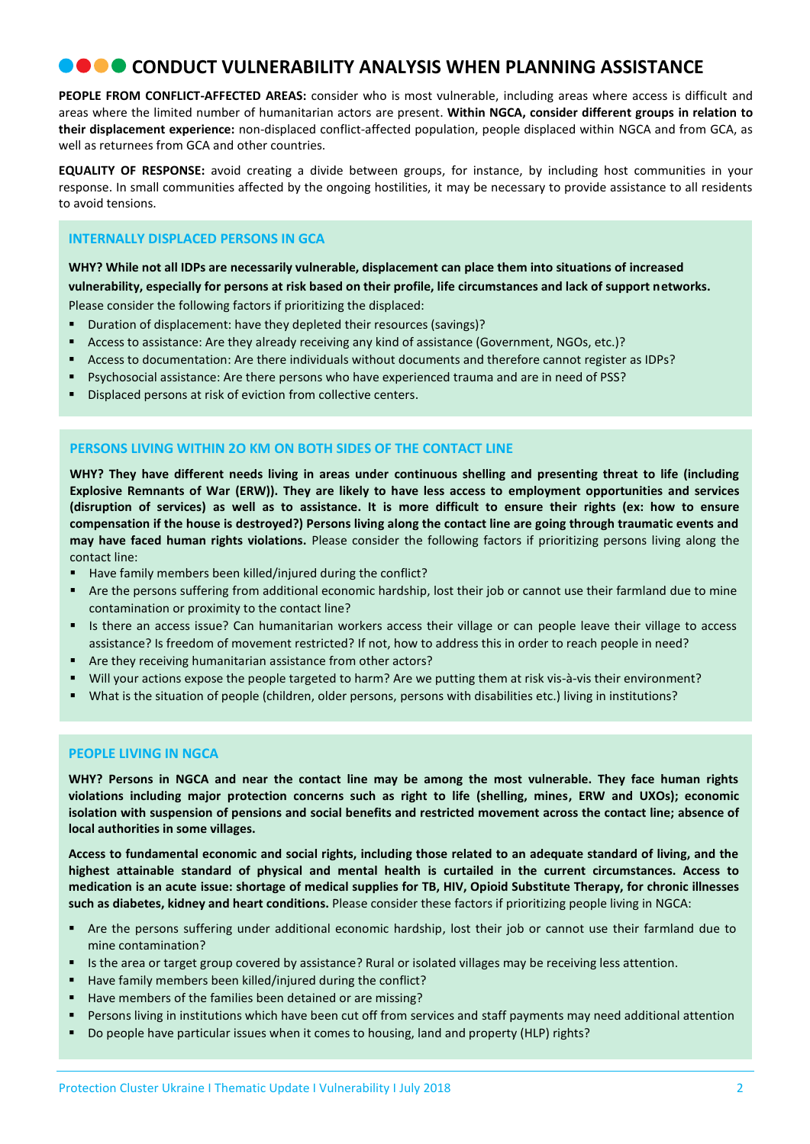## **• • CONDUCT VULNERABILITY ANALYSIS WHEN PLANNING ASSISTANCE**

**PEOPLE FROM CONFLICT-AFFECTED AREAS:** consider who is most vulnerable, including areas where access is difficult and areas where the limited number of humanitarian actors are present. **Within NGCA, consider different groups in relation to their displacement experience:** non-displaced conflict-affected population, people displaced within NGCA and from GCA, as well as returnees from GCA and other countries.

**EQUALITY OF RESPONSE:** avoid creating a divide between groups, for instance, by including host communities in your response. In small communities affected by the ongoing hostilities, it may be necessary to provide assistance to all residents to avoid tensions.

### **INTERNALLY DISPLACED PERSONS IN GCA**

**WHY? While not all IDPs are necessarily vulnerable, displacement can place them into situations of increased vulnerability, especially for persons at risk based on their profile, life circumstances and lack of support networks.**  Please consider the following factors if prioritizing the displaced:

- Duration of displacement: have they depleted their resources (savings)?
- Access to assistance: Are they already receiving any kind of assistance (Government, NGOs, etc.)?
- Access to documentation: Are there individuals without documents and therefore cannot register as IDPs?
- Psychosocial assistance: Are there persons who have experienced trauma and are in need of PSS?
- Displaced persons at risk of eviction from collective centers.

#### **PERSONS LIVING WITHIN 2O KM ON BOTH SIDES OF THE CONTACT LINE**

**WHY? They have different needs living in areas under continuous shelling and presenting threat to life (including Explosive Remnants of War (ERW)). They are likely to have less access to employment opportunities and services (disruption of services) as well as to assistance. It is more difficult to ensure their rights (ex: how to ensure compensation if the house is destroyed?) Persons living along the contact line are going through traumatic events and may have faced human rights violations.** Please consider the following factors if prioritizing persons living along the contact line:

- Have family members been killed/injured during the conflict?
- Are the persons suffering from additional economic hardship, lost their job or cannot use their farmland due to mine contamination or proximity to the contact line?
- Is there an access issue? Can humanitarian workers access their village or can people leave their village to access assistance? Is freedom of movement restricted? If not, how to address this in order to reach people in need?
- Are they receiving humanitarian assistance from other actors?
- Will your actions expose the people targeted to harm? Are we putting them at risk vis-à-vis their environment?
- What is the situation of people (children, older persons, persons with disabilities etc.) living in institutions?

#### **PEOPLE LIVING IN NGCA**

**WHY? Persons in NGCA and near the contact line may be among the most vulnerable. They face human rights violations including major protection concerns such as right to life (shelling, mines, ERW and UXOs); economic isolation with suspension of pensions and social benefits and restricted movement across the contact line; absence of local authorities in some villages.** 

**Access to fundamental economic and social rights, including those related to an adequate standard of living, and the highest attainable standard of physical and mental health is curtailed in the current circumstances. Access to medication is an acute issue: shortage of medical supplies for TB, HIV, Opioid Substitute Therapy, for chronic illnesses such as diabetes, kidney and heart conditions.** Please consider these factors if prioritizing people living in NGCA:

- Are the persons suffering under additional economic hardship, lost their job or cannot use their farmland due to mine contamination?
- Is the area or target group covered by assistance? Rural or isolated villages may be receiving less attention.
- Have family members been killed/injured during the conflict?
- Have members of the families been detained or are missing?
- Persons living in institutions which have been cut off from services and staff payments may need additional attention
- Do people have particular issues when it comes to housing, land and property (HLP) rights?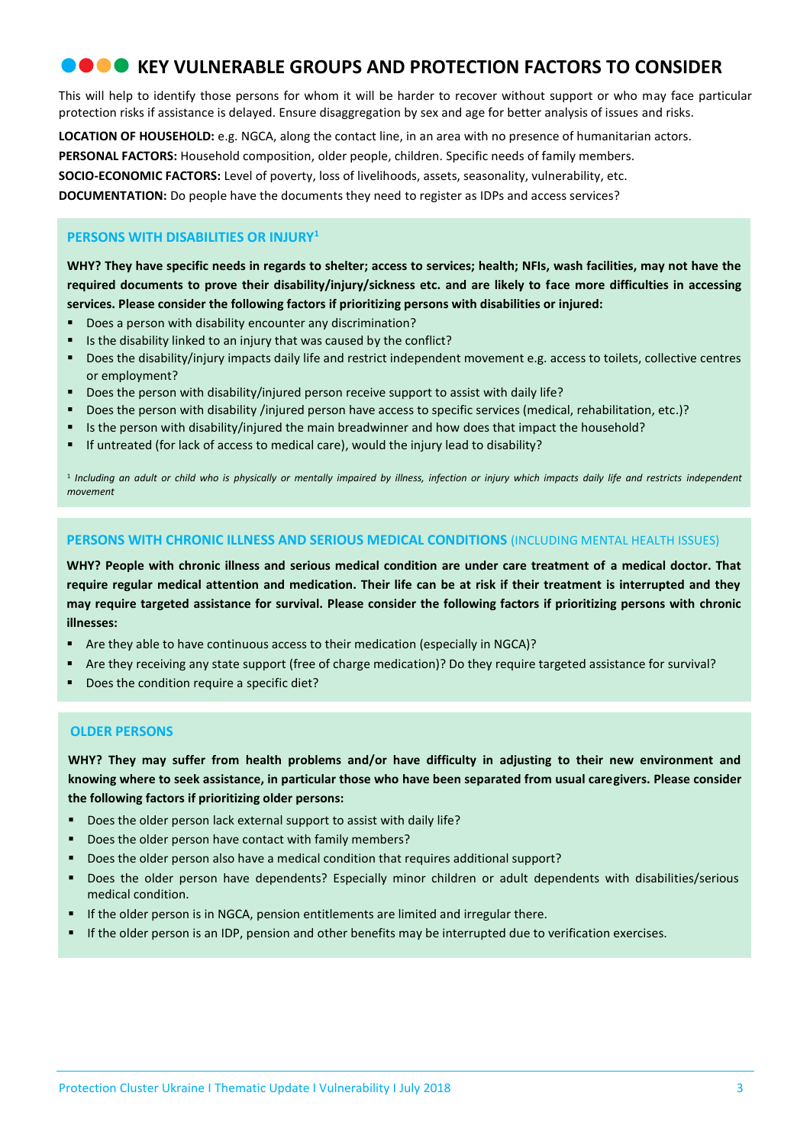## **COO** KEY VULNERABLE GROUPS AND PROTECTION FACTORS TO CONSIDER

This will help to identify those persons for whom it will be harder to recover without support or who may face particular protection risks if assistance is delayed. Ensure disaggregation by sex and age for better analysis of issues and risks.

**LOCATION OF HOUSEHOLD:** e.g. NGCA, along the contact line, in an area with no presence of humanitarian actors.

**PERSONAL FACTORS:** Household composition, older people, children. Specific needs of family members.

**SOCIO-ECONOMIC FACTORS:** Level of poverty, loss of livelihoods, assets, seasonality, vulnerability, etc.

**DOCUMENTATION:** Do people have the documents they need to register as IDPs and access services?

### **PERSONS WITH DISABILITIES OR INJURY<sup>1</sup>**

**WHY? They have specific needs in regards to shelter; access to services; health; NFIs, wash facilities, may not have the required documents to prove their disability/injury/sickness etc. and are likely to face more difficulties in accessing services. Please consider the following factors if prioritizing persons with disabilities or injured:** 

- Does a person with disability encounter any discrimination?
- Is the disability linked to an injury that was caused by the conflict?
- **Does the disability/injury impacts daily life and restrict independent movement e.g. access to toilets, collective centres** or employment?
- Does the person with disability/injured person receive support to assist with daily life?
- Does the person with disability /injured person have access to specific services (medical, rehabilitation, etc.)?
- Is the person with disability/injured the main breadwinner and how does that impact the household?
- If untreated (for lack of access to medical care), would the injury lead to disability?

1 *Including an adult or child who is physically or mentally impaired by illness, infection or injury which impacts daily life and restricts independent movement*

#### **PERSONS WITH CHRONIC ILLNESS AND SERIOUS MEDICAL CONDITIONS** (INCLUDING MENTAL HEALTH ISSUES)

**WHY? People with chronic illness and serious medical condition are under care treatment of a medical doctor. That require regular medical attention and medication. Their life can be at risk if their treatment is interrupted and they may require targeted assistance for survival. Please consider the following factors if prioritizing persons with chronic illnesses:** 

- Are they able to have continuous access to their medication (especially in NGCA)?
- Are they receiving any state support (free of charge medication)? Do they require targeted assistance for survival?
- Does the condition require a specific diet?

#### **OLDER PERSONS**

**WHY? They may suffer from health problems and/or have difficulty in adjusting to their new environment and knowing where to seek assistance, in particular those who have been separated from usual caregivers. Please consider the following factors if prioritizing older persons:** 

- Does the older person lack external support to assist with daily life?
- Does the older person have contact with family members?
- Does the older person also have a medical condition that requires additional support?
- Does the older person have dependents? Especially minor children or adult dependents with disabilities/serious medical condition.
- If the older person is in NGCA, pension entitlements are limited and irregular there.
- If the older person is an IDP, pension and other benefits may be interrupted due to verification exercises.